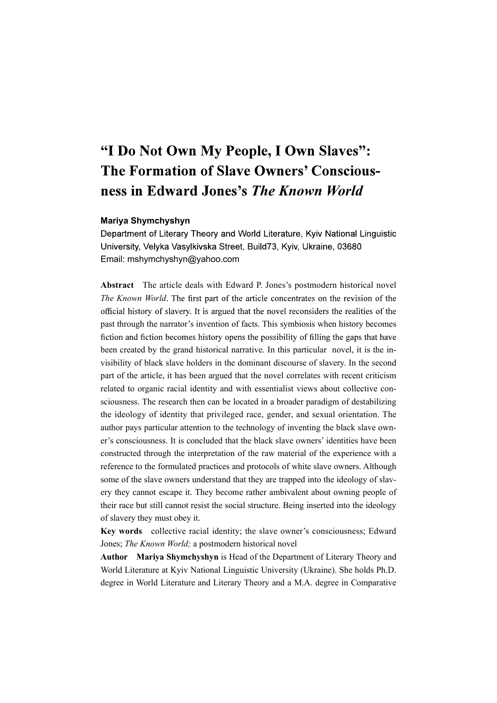# "I Do Not Own My People, I Own Slaves": The Formation of Slave Owners' Consciousness in Edward Jones's The Known World

### Mariya Shymchyshyn

Department of Literary Theory and World Literature, Kyiv National Linguistic University, Velyka Vasylkivska Street, Build73, Kyiv, Ukraine, 03680 Email: mshymchyshyn@yahoo.com

Abstract The article deals with Edward P. Jones's postmodern historical novel The Known World. The first part of the article concentrates on the revision of the official history of slavery. It is argued that the novel reconsiders the realities of the past through the narrator's invention of facts. This symbiosis when history becomes fiction and fiction becomes history opens the possibility of filling the gaps that have been created by the grand historical narrative. In this particular novel, it is the invisibility of black slave holders in the dominant discourse of slavery. In the second part of the article, it has been argued that the novel correlates with recent criticism related to organic racial identity and with essentialist views about collective consciousness. The research then can be located in a broader paradigm of destabilizing the ideology of identity that privileged race, gender, and sexual orientation. The author pays particular attention to the technology of inventing the black slave owner's consciousness. It is concluded that the black slave owners' identities have been constructed through the interpretation of the raw material of the experience with a reference to the formulated practices and protocols of white slave owners. Although some of the slave owners understand that they are trapped into the ideology of slavery they cannot escape it. They become rather ambivalent about owning people of their race but still cannot resist the social structure. Being inserted into the ideology of slavery they must obey it.

Key words collective racial identity; the slave owner's consciousness; Edward Jones; The Known World; a postmodern historical novel

Author Mariya Shymchyshyn is Head of the Department of Literary Theory and World Literature at Kyiv National Linguistic University (Ukraine). She holds Ph.D. degree in World Literature and Literary Theory and a M.A. degree in Comparative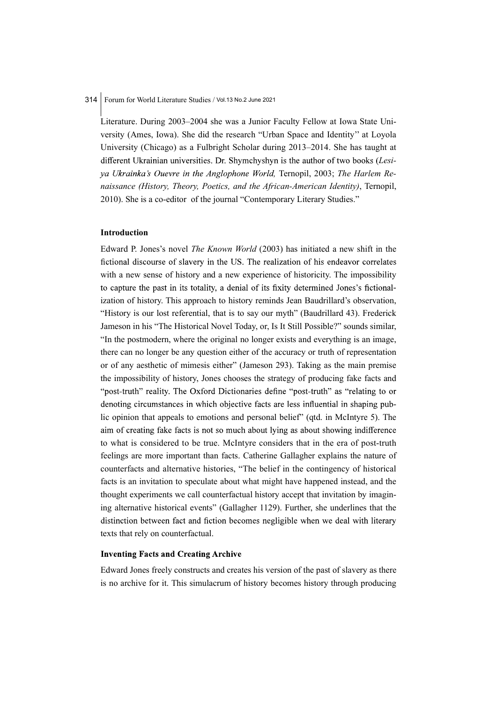Literature. During 2003–2004 she was a Junior Faculty Fellow at Iowa State University (Ames, Iowa). She did the research "Urban Space and Identity'' at Loyola University (Chicago) as a Fulbright Scholar during 2013–2014. She has taught at different Ukrainian universities. Dr. Shymchyshyn is the author of two books (Lesiya Ukrainka's Ouevre in the Anglophone World, Ternopil, 2003; The Harlem Renaissance (History, Theory, Poetics, and the African-American Identity), Ternopil, 2010). She is a co-editor of the journal "Contemporary Literary Studies."

## Introduction

Edward P. Jones's novel The Known World (2003) has initiated a new shift in the fictional discourse of slavery in the US. The realization of his endeavor correlates with a new sense of history and a new experience of historicity. The impossibility to capture the past in its totality, a denial of its fixity determined Jones's fictionalization of history. This approach to history reminds Jean Baudrillard's observation, "History is our lost referential, that is to say our myth" (Baudrillard 43). Frederick Jameson in his "The Historical Novel Today, or, Is It Still Possible?" sounds similar, "In the postmodern, where the original no longer exists and everything is an image, there can no longer be any question either of the accuracy or truth of representation or of any aesthetic of mimesis either" (Jameson 293). Taking as the main premise the impossibility of history, Jones chooses the strategy of producing fake facts and "post-truth" reality. The Oxford Dictionaries define "post-truth" as "relating to or denoting circumstances in which objective facts are less influential in shaping public opinion that appeals to emotions and personal belief" (qtd. in McIntyre 5). The aim of creating fake facts is not so much about lying as about showing indifference to what is considered to be true. McIntyre considers that in the era of post-truth feelings are more important than facts. Catherine Gallagher explains the nature of counterfacts and alternative histories, "The belief in the contingency of historical facts is an invitation to speculate about what might have happened instead, and the thought experiments we call counterfactual history accept that invitation by imagining alternative historical events" (Gallagher 1129). Further, she underlines that the distinction between fact and fiction becomes negligible when we deal with literary texts that rely on counterfactual.

## **Inventing Facts and Creating Archive**

Edward Jones freely constructs and creates his version of the past of slavery as there is no archive for it. This simulacrum of history becomes history through producing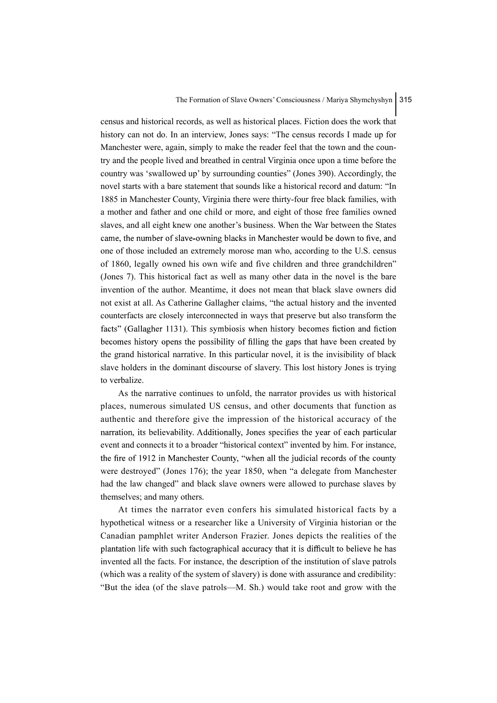census and historical records, as well as historical places. Fiction does the work that history can not do. In an interview, Jones says: "The census records I made up for Manchester were, again, simply to make the reader feel that the town and the country and the people lived and breathed in central Virginia once upon a time before the country was 'swallowed up' by surrounding counties" (Jones 390). Accordingly, the novel starts with a bare statement that sounds like a historical record and datum: "In 1885 in Manchester County, Virginia there were thirty-four free black families, with a mother and father and one child or more, and eight of those free families owned slaves, and all eight knew one another's business. When the War between the States came, the number of slave-owning blacks in Manchester would be down to five, and one of those included an extremely morose man who, according to the U.S. census of 1860, legally owned his own wife and five children and three grandchildren" (Jones 7). This historical fact as well as many other data in the novel is the bare invention of the author. Meantime, it does not mean that black slave owners did not exist at all. As Catherine Gallagher claims, "the actual history and the invented counterfacts are closely interconnected in ways that preserve but also transform the facts" (Gallagher 1131). This symbiosis when history becomes fiction and fiction becomes history opens the possibility of filling the gaps that have been created by the grand historical narrative. In this particular novel, it is the invisibility of black slave holders in the dominant discourse of slavery. This lost history Jones is trying to verbalize.

As the narrative continues to unfold, the narrator provides us with historical places, numerous simulated US census, and other documents that function as authentic and therefore give the impression of the historical accuracy of the narration, its believability. Additionally, Jones specifies the year of each particular event and connects it to a broader "historical context" invented by him. For instance, the fire of 1912 in Manchester County, "when all the judicial records of the county were destroyed" (Jones 176); the year 1850, when "a delegate from Manchester had the law changed" and black slave owners were allowed to purchase slaves by themselves; and many others.

At times the narrator even confers his simulated historical facts by a hypothetical witness or a researcher like a University of Virginia historian or the Canadian pamphlet writer Anderson Frazier. Jones depicts the realities of the plantation life with such factographical accuracy that it is difficult to believe he has invented all the facts. For instance, the description of the institution of slave patrols (which was a reality of the system of slavery) is done with assurance and credibility: "But the idea (of the slave patrols—M. Sh.) would take root and grow with the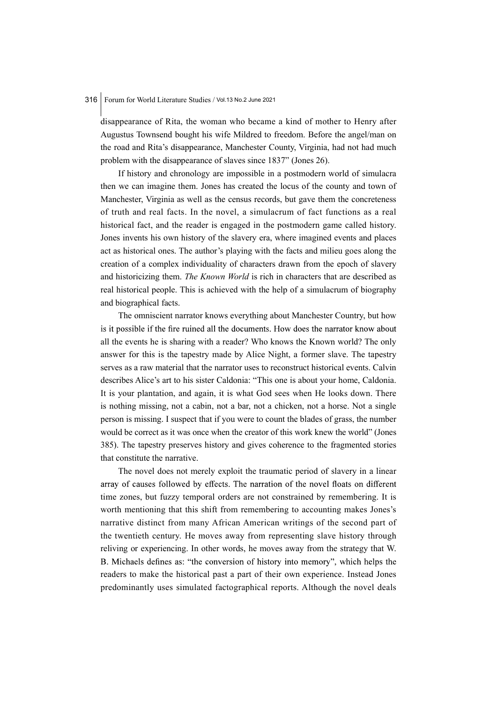disappearance of Rita, the woman who became a kind of mother to Henry after Augustus Townsend bought his wife Mildred to freedom. Before the angel/man on the road and Rita's disappearance, Manchester County, Virginia, had not had much problem with the disappearance of slaves since 1837" (Jones 26).

If history and chronology are impossible in a postmodern world of simulacra then we can imagine them. Jones has created the locus of the county and town of Manchester, Virginia as well as the census records, but gave them the concreteness of truth and real facts. In the novel, a simulacrum of fact functions as a real historical fact, and the reader is engaged in the postmodern game called history. Jones invents his own history of the slavery era, where imagined events and places act as historical ones. The author's playing with the facts and milieu goes along the creation of a complex individuality of characters drawn from the epoch of slavery and historicizing them. The Known World is rich in characters that are described as real historical people. This is achieved with the help of a simulacrum of biography and biographical facts.

The omniscient narrator knows everything about Manchester Country, but how is it possible if the fire ruined all the documents. How does the narrator know about all the events he is sharing with a reader? Who knows the Known world? The only answer for this is the tapestry made by Alice Night, a former slave. The tapestry serves as a raw material that the narrator uses to reconstruct historical events. Calvin describes Alice's art to his sister Caldonia: "This one is about your home, Caldonia. It is your plantation, and again, it is what God sees when He looks down. There is nothing missing, not a cabin, not a bar, not a chicken, not a horse. Not a single person is missing. I suspect that if you were to count the blades of grass, the number would be correct as it was once when the creator of this work knew the world" (Jones 385). The tapestry preserves history and gives coherence to the fragmented stories that constitute the narrative.

The novel does not merely exploit the traumatic period of slavery in a linear array of causes followed by effects. The narration of the novel floats on different time zones, but fuzzy temporal orders are not constrained by remembering. It is worth mentioning that this shift from remembering to accounting makes Jones's narrative distinct from many African American writings of the second part of the twentieth century. He moves away from representing slave history through reliving or experiencing. In other words, he moves away from the strategy that W. B. Michaels defines as: "the conversion of history into memory", which helps the readers to make the historical past a part of their own experience. Instead Jones predominantly uses simulated factographical reports. Although the novel deals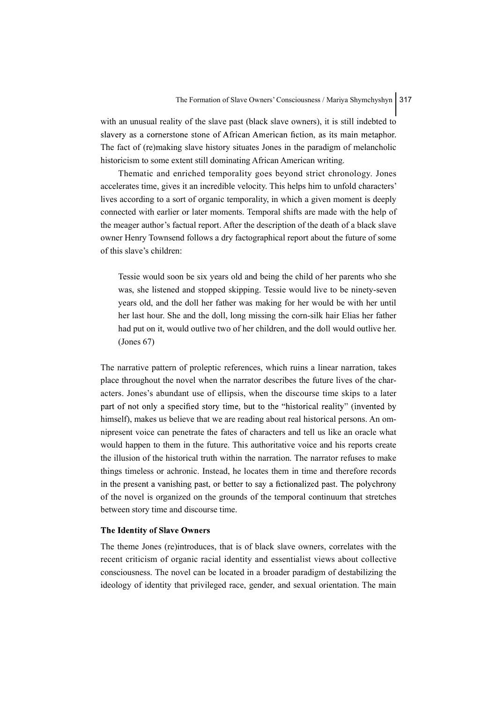with an unusual reality of the slave past (black slave owners), it is still indebted to slavery as a cornerstone stone of African American fiction, as its main metaphor. The fact of (re)making slave history situates Jones in the paradigm of melancholic historicism to some extent still dominating African American writing.

Thematic and enriched temporality goes beyond strict chronology. Jones accelerates time, gives it an incredible velocity. This helps him to unfold characters' lives according to a sort of organic temporality, in which a given moment is deeply connected with earlier or later moments. Temporal shifts are made with the help of the meager author's factual report. After the description of the death of a black slave owner Henry Townsend follows a dry factographical report about the future of some of this slave's children:

Tessie would soon be six years old and being the child of her parents who she was, she listened and stopped skipping. Tessie would live to be ninety-seven years old, and the doll her father was making for her would be with her until her last hour. She and the doll, long missing the corn-silk hair Elias her father had put on it, would outlive two of her children, and the doll would outlive her. (Jones 67)

The narrative pattern of proleptic references, which ruins a linear narration, takes place throughout the novel when the narrator describes the future lives of the characters. Jones's abundant use of ellipsis, when the discourse time skips to a later part of not only a specified story time, but to the "historical reality" (invented by himself), makes us believe that we are reading about real historical persons. An omnipresent voice can penetrate the fates of characters and tell us like an oracle what would happen to them in the future. This authoritative voice and his reports create the illusion of the historical truth within the narration. The narrator refuses to make things timeless or achronic. Instead, he locates them in time and therefore records in the present a vanishing past, or better to say a fictionalized past. The polychrony of the novel is organized on the grounds of the temporal continuum that stretches between story time and discourse time.

## **The Identity of Slave Owners**

The theme Jones (re)introduces, that is of black slave owners, correlates with the recent criticism of organic racial identity and essentialist views about collective consciousness. The novel can be located in a broader paradigm of destabilizing the ideology of identity that privileged race, gender, and sexual orientation. The main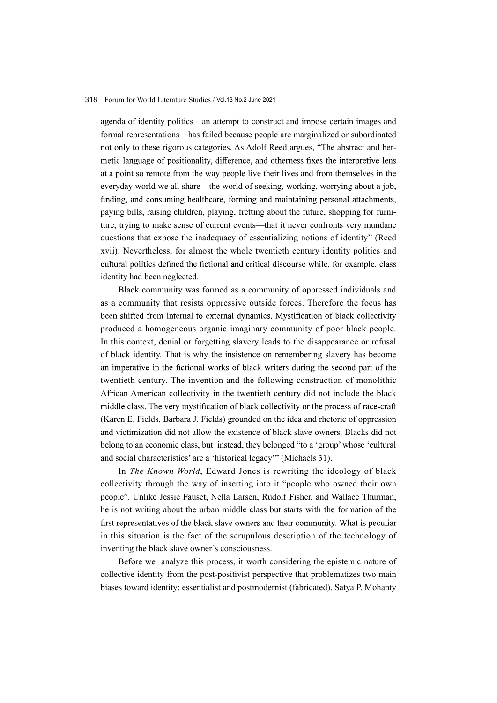agenda of identity politics—an attempt to construct and impose certain images and formal representations—has failed because people are marginalized or subordinated not only to these rigorous categories. As Adolf Reed argues, "The abstract and hermetic language of positionality, difference, and otherness fixes the interpretive lens at a point so remote from the way people live their lives and from themselves in the everyday world we all share—the world of seeking, working, worrying about a job, finding, and consuming healthcare, forming and maintaining personal attachments, paying bills, raising children, playing, fretting about the future, shopping for furniture, trying to make sense of current events—that it never confronts very mundane questions that expose the inadequacy of essentializing notions of identity" (Reed xvii). Nevertheless, for almost the whole twentieth century identity politics and cultural politics defined the fictional and critical discourse while, for example, class identity had been neglected.

Black community was formed as a community of oppressed individuals and as a community that resists oppressive outside forces. Therefore the focus has been shifted from internal to external dynamics. Mystification of black collectivity produced a homogeneous organic imaginary community of poor black people. In this context, denial or forgetting slavery leads to the disappearance or refusal of black identity. That is why the insistence on remembering slavery has become an imperative in the fictional works of black writers during the second part of the twentieth century. The invention and the following construction of monolithic African American collectivity in the twentieth century did not include the black middle class. The very mystification of black collectivity or the process of race-craft (Karen E. Fields, Barbara J. Fields) grounded on the idea and rhetoric of oppression and victimization did not allow the existence of black slave owners. Blacks did not belong to an economic class, but instead, they belonged "to a 'group' whose 'cultural and social characteristics' are a 'historical legacy'" (Michaels 31).

In The Known World, Edward Jones is rewriting the ideology of black collectivity through the way of inserting into it "people who owned their own people". Unlike Jessie Fauset, Nella Larsen, Rudolf Fisher, and Wallace Thurman, he is not writing about the urban middle class but starts with the formation of the first representatives of the black slave owners and their community. What is peculiar in this situation is the fact of the scrupulous description of the technology of inventing the black slave owner's consciousness.

Before we analyze this process, it worth considering the epistemic nature of collective identity from the post-positivist perspective that problematizes two main biases toward identity: essentialist and postmodernist (fabricated). Satya P. Mohanty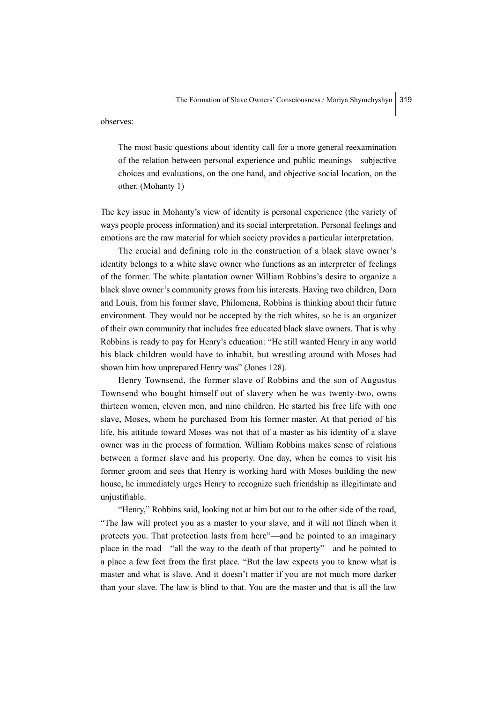observes:

The most basic questions about identity call for a more general reexamination of the relation between personal experience and public meanings—subjective choices and evaluations, on the one hand, and objective social location, on the other. (Mohanty 1)

The key issue in Mohanty's view of identity is personal experience (the variety of ways people process information) and its social interpretation. Personal feelings and emotions are the raw material for which society provides a particular interpretation.

The crucial and defining role in the construction of a black slave owner's identity belongs to a white slave owner who functions as an interpreter of feelings of the former. The white plantation owner William Robbins's desire to organize a black slave owner's community grows from his interests. Having two children, Dora and Louis, from his former slave, Philomena, Robbins is thinking about their future environment. They would not be accepted by the rich whites, so he is an organizer of their own community that includes free educated black slave owners. That is why Robbins is ready to pay for Henry's education: "He still wanted Henry in any world his black children would have to inhabit, but wrestling around with Moses had shown him how unprepared Henry was" (Jones 128).

Henry Townsend, the former slave of Robbins and the son of Augustus Townsend who bought himself out of slavery when he was twenty-two, owns thirteen women, eleven men, and nine children. He started his free life with one slave, Moses, whom he purchased from his former master. At that period of his life, his attitude toward Moses was not that of a master as his identity of a slave owner was in the process of formation. William Robbins makes sense of relations between a former slave and his property. One day, when he comes to visit his former groom and sees that Henry is working hard with Moses building the new house, he immediately urges Henry to recognize such friendship as illegitimate and unjustifiable.

"Henry," Robbins said, looking not at him but out to the other side of the road, "The law will protect you as a master to your slave, and it will not flinch when it protects you. That protection lasts from here"—and he pointed to an imaginary place in the road—"all the way to the death of that property"—and he pointed to a place a few feet from the first place. "But the law expects you to know what is master and what is slave. And it doesn't matter if you are not much more darker than your slave. The law is blind to that. You are the master and that is all the law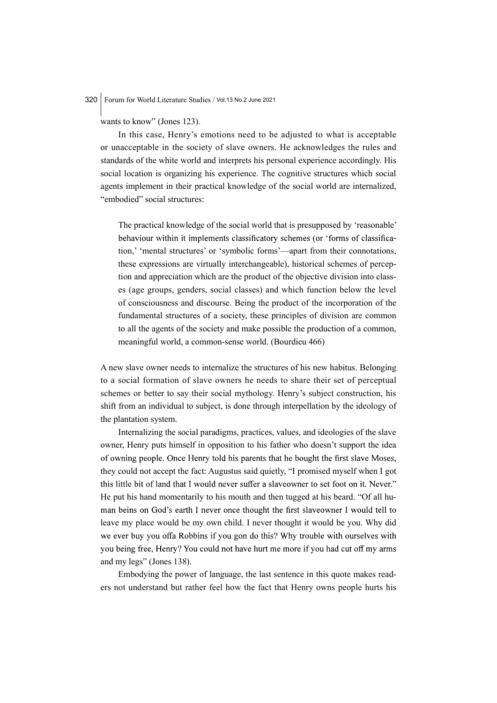wants to know" (Jones 123).

In this case, Henry's emotions need to be adjusted to what is acceptable or unacceptable in the society of slave owners. He acknowledges the rules and standards of the white world and interprets his personal experience accordingly. His social location is organizing his experience. The cognitive structures which social agents implement in their practical knowledge of the social world are internalized, "embodied" social structures:

The practical knowledge of the social world that is presupposed by 'reasonable' behaviour within it implements classificatory schemes (or 'forms of classification,' 'mental structures' or 'symbolic forms'—apart from their connotations, these expressions are virtually interchangeable), historical schemes of perception and appreciation which are the product of the objective division into classes (age groups, genders, social classes) and which function below the level of consciousness and discourse. Being the product of the incorporation of the fundamental structures of a society, these principles of division are common to all the agents of the society and make possible the production of a common, meaningful world, a common-sense world. (Bourdieu 466)

A new slave owner needs to internalize the structures of his new habitus. Belonging to a social formation of slave owners he needs to share their set of perceptual schemes or better to say their social mythology. Henry's subject construction, his shift from an individual to subject, is done through interpellation by the ideology of the plantation system.

Internalizing the social paradigms, practices, values, and ideologies of the slave owner, Henry puts himself in opposition to his father who doesn't support the idea of owning people. Once Henry told his parents that he bought the first slave Moses, they could not accept the fact: Augustus said quietly, "I promised myself when I got this little bit of land that I would never suffer a slaveowner to set foot on it. Never." He put his hand momentarily to his mouth and then tugged at his beard. "Of all human beins on God's earth I never once thought the first slaveowner I would tell to leave my place would be my own child. I never thought it would be you. Why did we ever buy you offa Robbins if you gon do this? Why trouble with ourselves with you being free, Henry? You could not have hurt me more if you had cut off my arms and my legs" (Jones 138).

Embodying the power of language, the last sentence in this quote makes readers not understand but rather feel how the fact that Henry owns people hurts his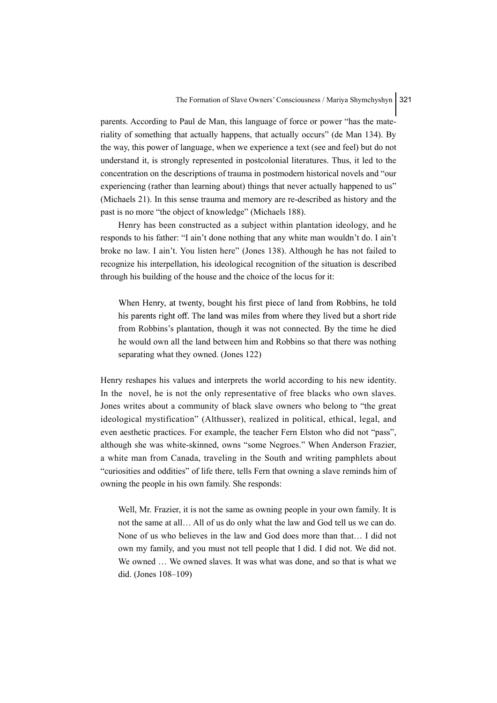parents. According to Paul de Man, this language of force or power "has the materiality of something that actually happens, that actually occurs" (de Man 134). By the way, this power of language, when we experience a text (see and feel) but do not understand it, is strongly represented in postcolonial literatures. Thus, it led to the concentration on the descriptions of trauma in postmodern historical novels and "our experiencing (rather than learning about) things that never actually happened to us" (Michaels 21). In this sense trauma and memory are re-described as history and the past is no more "the object of knowledge" (Michaels 188).

Henry has been constructed as a subject within plantation ideology, and he responds to his father: "I ain't done nothing that any white man wouldn't do. I ain't broke no law. I ain't. You listen here" (Jones 138). Although he has not failed to recognize his interpellation, his ideological recognition of the situation is described through his building of the house and the choice of the locus for it:

When Henry, at twenty, bought his first piece of land from Robbins, he told his parents right off. The land was miles from where they lived but a short ride from Robbins's plantation, though it was not connected. By the time he died he would own all the land between him and Robbins so that there was nothing separating what they owned. (Jones 122)

Henry reshapes his values and interprets the world according to his new identity. In the novel, he is not the only representative of free blacks who own slaves. Jones writes about a community of black slave owners who belong to "the great ideological mystification" (Althusser), realized in political, ethical, legal, and even aesthetic practices. For example, the teacher Fern Elston who did not "pass", although she was white-skinned, owns "some Negroes." When Anderson Frazier, a white man from Canada, traveling in the South and writing pamphlets about "curiosities and oddities" of life there, tells Fern that owning a slave reminds him of owning the people in his own family. She responds:

Well, Mr. Frazier, it is not the same as owning people in your own family. It is not the same at all… All of us do only what the law and God tell us we can do. None of us who believes in the law and God does more than that… I did not own my family, and you must not tell people that I did. I did not. We did not. We owned … We owned slaves. It was what was done, and so that is what we did. (Jones 108–109)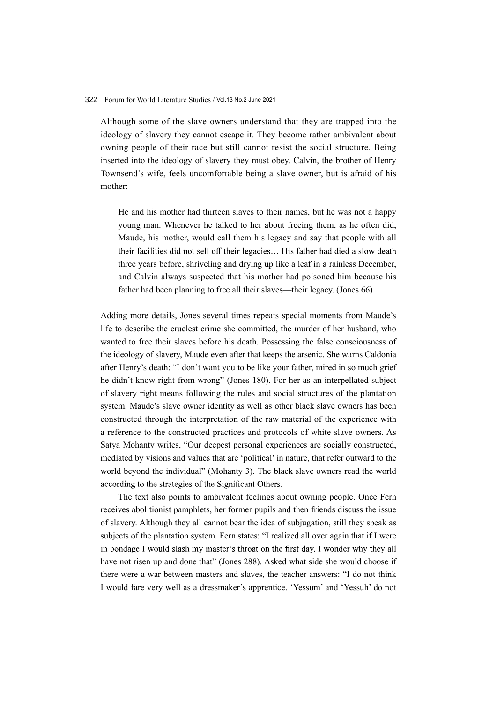Although some of the slave owners understand that they are trapped into the ideology of slavery they cannot escape it. They become rather ambivalent about owning people of their race but still cannot resist the social structure. Being inserted into the ideology of slavery they must obey. Calvin, the brother of Henry Townsend's wife, feels uncomfortable being a slave owner, but is afraid of his mother:

He and his mother had thirteen slaves to their names, but he was not a happy young man. Whenever he talked to her about freeing them, as he often did, Maude, his mother, would call them his legacy and say that people with all their facilities did not sell off their legacies... His father had died a slow death three years before, shriveling and drying up like a leaf in a rainless December, and Calvin always suspected that his mother had poisoned him because his father had been planning to free all their slaves—their legacy. (Jones 66)

Adding more details, Jones several times repeats special moments from Maude's life to describe the cruelest crime she committed, the murder of her husband, who wanted to free their slaves before his death. Possessing the false consciousness of the ideology of slavery, Maude even after that keeps the arsenic. She warns Caldonia after Henry's death: "I don't want you to be like your father, mired in so much grief he didn't know right from wrong" (Jones 180). For her as an interpellated subject of slavery right means following the rules and social structures of the plantation system. Maude's slave owner identity as well as other black slave owners has been constructed through the interpretation of the raw material of the experience with a reference to the constructed practices and protocols of white slave owners. As Satya Mohanty writes, "Our deepest personal experiences are socially constructed, mediated by visions and values that are 'political' in nature, that refer outward to the world beyond the individual" (Mohanty 3). The black slave owners read the world according to the strategies of the Significant Others.

The text also points to ambivalent feelings about owning people. Once Fern receives abolitionist pamphlets, her former pupils and then friends discuss the issue of slavery. Although they all cannot bear the idea of subjugation, still they speak as subjects of the plantation system. Fern states: "I realized all over again that if I were in bondage I would slash my master's throat on the first day. I wonder why they all have not risen up and done that" (Jones 288). Asked what side she would choose if there were a war between masters and slaves, the teacher answers: "I do not think I would fare very well as a dressmaker's apprentice. 'Yessum' and 'Yessuh' do not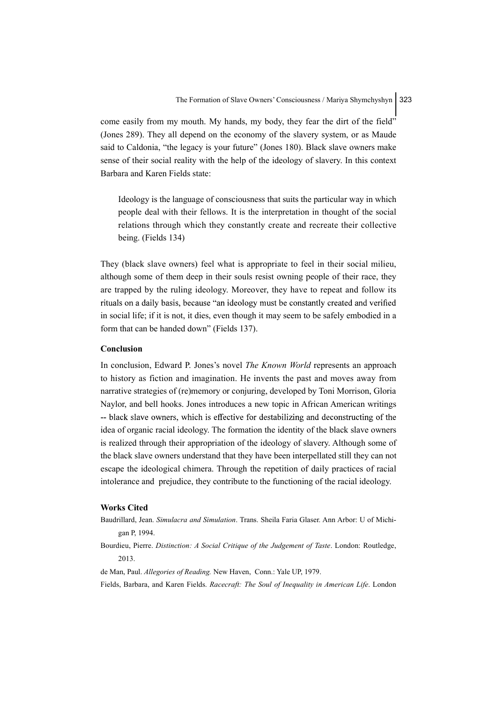come easily from my mouth. My hands, my body, they fear the dirt of the field" (Jones 289). They all depend on the economy of the slavery system, or as Maude said to Caldonia, "the legacy is your future" (Jones 180). Black slave owners make sense of their social reality with the help of the ideology of slavery. In this context Barbara and Karen Fields state:

Ideology is the language of consciousness that suits the particular way in which people deal with their fellows. It is the interpretation in thought of the social relations through which they constantly create and recreate their collective being. (Fields 134)

They (black slave owners) feel what is appropriate to feel in their social milieu, although some of them deep in their souls resist owning people of their race, they are trapped by the ruling ideology. Moreover, they have to repeat and follow its rituals on a daily basis, because "an ideology must be constantly created and verified in social life; if it is not, it dies, even though it may seem to be safely embodied in a form that can be handed down" (Fields 137).

#### Conclusion

In conclusion, Edward P. Jones's novel *The Known World* represents an approach to history as fiction and imagination. He invents the past and moves away from narrative strategies of (re)memory or conjuring, developed by Toni Morrison, Gloria Naylor, and bell hooks. Jones introduces a new topic in African American writings -- black slave owners, which is effective for destabilizing and deconstructing of the idea of organic racial ideology. The formation the identity of the black slave owners is realized through their appropriation of the ideology of slavery. Although some of the black slave owners understand that they have been interpellated still they can not escape the ideological chimera. Through the repetition of daily practices of racial intolerance and prejudice, they contribute to the functioning of the racial ideology.

#### Works Cited

- Baudrillard, Jean. Simulacra and Simulation. Trans. Sheila Faria Glaser. Ann Arbor: U of Michigan P, 1994.
- Bourdieu, Pierre. Distinction: A Social Critique of the Judgement of Taste. London: Routledge, 2013.
- de Man, Paul. Allegories of Reading. New Haven, Conn.: Yale UP, 1979.

Fields, Barbara, and Karen Fields. Racecraft: The Soul of Inequality in American Life. London